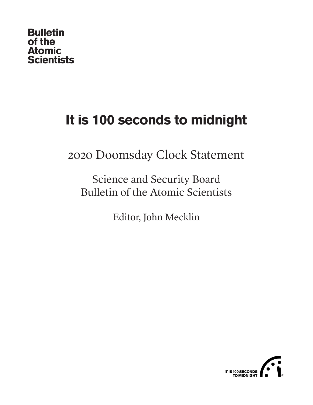### **Bulletin** of the **Atomic Scientists**

# **It is 100 seconds to midnight**

2020 Doomsday Clock Statement

Science and Security Board Bulletin of the Atomic Scientists

Editor, John Mecklin

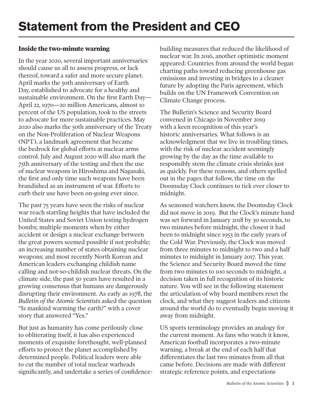### **Inside the two-minute warning**

In the year 2020, several important anniversaries should cause us all to assess progress, or lack thereof, toward a safer and more secure planet. April marks the 50th anniversary of Earth Day, established to advocate for a healthy and sustainable environment. On the first Earth Day— April 22, 1970—20 million Americans, almost 10 percent of the US population, took to the streets to advocate for more sustainable practices. May 2020 also marks the 50th anniversary of the Treaty on the Non-Proliferation of Nuclear Weapons (NPT), a landmark agreement that became the bedrock for global efforts at nuclear arms control. July and August 2020 will also mark the 75th anniversary of the testing and then the use of nuclear weapons in Hiroshima and Nagasaki, the first and only time such weapons have been brandished as an instrument of war. Efforts to curb their use have been on-going ever since.

The past 75 years have seen the risks of nuclear war reach startling heights that have included the United States and Soviet Union testing hydrogen bombs; multiple moments when by either accident or design a nuclear exchange between the great powers seemed possible if not probable; an increasing number of states obtaining nuclear weapons; and most recently North Korean and American leaders exchanging childish name calling and not-so-childish nuclear threats. On the climate side, the past 50 years have resulted in a growing consensus that humans are dangerously disrupting their environment. As early as 1978, the *Bulletin of the Atomic Scientists* asked the question "Is mankind warming the earth?" with a cover story that answered "Yes."

But just as humanity has come perilously close to obliterating itself, it has also experienced moments of exquisite forethought, well-planned efforts to protect the planet accomplished by determined people. Political leaders were able to cut the number of total nuclear warheads significantly, and undertake a series of confidencebuilding measures that reduced the likelihood of nuclear war. In 2016, another optimistic moment appeared: Countries from around the world began charting paths toward reducing greenhouse gas emissions and investing in bridges to a cleaner future by adopting the Paris agreement, which builds on the UN Framework Convention on Climate Change process.

The Bulletin's Science and Security Board convened in Chicago in November 2019 with a keen recognition of this year's historic anniversaries. What follows is an acknowledgment that we live in troubling times, with the risk of nuclear accident seemingly growing by the day as the time available to responsibly stem the climate crisis shrinks just as quickly. For these reasons, and others spelled out in the pages that follow, the time on the Doomsday Clock continues to tick ever closer to midnight.

As seasoned watchers know, the Doomsday Clock did not move in 2019. But the Clock's minute hand was set forward in January 2018 by 30 seconds, to two minutes before midnight, the closest it had been to midnight since 1953 in the early years of the Cold War. Previously, the Clock was moved from three minutes to midnight to two and a half minutes to midnight in January 2017. This year, the Science and Security Board moved the time from two minutes to 100 seconds to midnight, a decision taken in full recognition of its historic nature. You will see in the following statement the articulation of why board members reset the clock, and what they suggest leaders and citizens around the world do to eventually begin moving it away from midnight.

US sports terminology provides an analogy for the current moment. As fans who watch it know, American football incorporates a two-minute warning, a break at the end of each half that differentiates the last two minutes from all that came before. Decisions are made with different strategic reference points, and expectations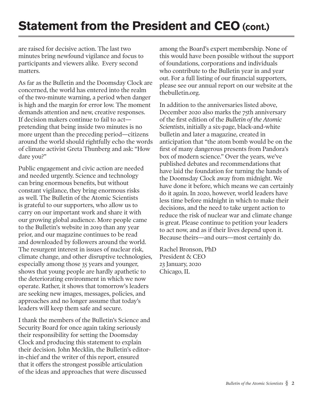## **Statement from the President and CEO (cont.)**

are raised for decisive action. The last two minutes bring newfound vigilance and focus to participants and viewers alike. Every second matters.

As far as the Bulletin and the Doomsday Clock are concerned, the world has entered into the realm of the two-minute warning, a period when danger is high and the margin for error low. The moment demands attention and new, creative responses. If decision makers continue to fail to act pretending that being inside two minutes is no more urgent than the preceding period—citizens around the world should rightfully echo the words of climate activist Greta Thunberg and ask: "How dare you?"

Public engagement and civic action are needed and needed urgently. Science and technology can bring enormous benefits, but without constant vigilance, they bring enormous risks as well. The Bulletin of the Atomic Scientists is grateful to our supporters, who allow us to carry on our important work and share it with our growing global audience. More people came to the Bulletin's website in 2019 than any year prior, and our magazine continues to be read and downloaded by followers around the world. The resurgent interest in issues of nuclear risk, climate change, and other disruptive technologies, especially among those 35 years and younger, shows that young people are hardly apathetic to the deteriorating environment in which we now operate. Rather, it shows that tomorrow's leaders are seeking new images, messages, policies, and approaches and no longer assume that today's leaders will keep them safe and secure.

I thank the members of the Bulletin's Science and Security Board for once again taking seriously their responsibility for setting the Doomsday Clock and producing this statement to explain their decision. John Mecklin, the Bulletin's editorin-chief and the writer of this report, ensured that it offers the strongest possible articulation of the ideas and approaches that were discussed

among the Board's expert membership. None of this would have been possible without the support of foundations, corporations and individuals who contribute to the Bulletin year in and year out. For a full listing of our financial supporters, please see our annual report on our website at the thebulletin.org.

In addition to the anniversaries listed above, December 2020 also marks the 75th anniversary of the first edition of the *Bulletin of the Atomic Scientists*, initially a six-page, black-and-white bulletin and later a magazine, created in anticipation that "the atom bomb would be on the first of many dangerous presents from Pandora's box of modern science." Over the years, we've published debates and recommendations that have laid the foundation for turning the hands of the Doomsday Clock away from midnight. We have done it before, which means we can certainly do it again. In 2020, however, world leaders have less time before midnight in which to make their decisions, and the need to take urgent action to reduce the risk of nuclear war and climate change is great. Please continue to petition your leaders to act now, and as if their lives depend upon it. Because theirs—and ours—most certainly do.

Rachel Bronson, PhD President & CEO 23 January, 2020 Chicago, IL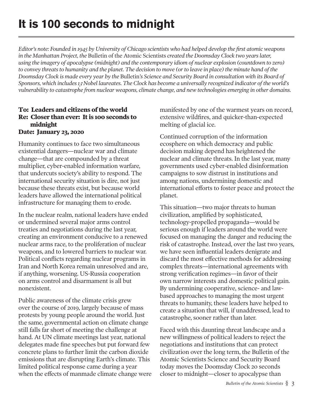*Editor's note: Founded in 1945 by University of Chicago scientists who had helped develop the first atomic weapons in the Manhattan Project, the* Bulletin of the Atomic Scientists *created the Doomsday Clock two years later, using the imagery of apocalypse (midnight) and the contemporary idiom of nuclear explosion (countdown to zero) to convey threats to humanity and the planet. The decision to move (or to leave in place) the minute hand of the Doomsday Clock is made every year by the* Bulletin*'s Science and Security Board in consultation with its Board of Sponsors, which includes 13 Nobel laureates. The Clock has become a universally recognized indicator of the world's vulnerability to catastrophe from nuclear weapons, climate change, and new technologies emerging in other domains.*

#### **To: Leaders and citizens of the world Re: Closer than ever: It is 100 seconds to midnight Date: January 23, 2020**

Humanity continues to face two simultaneous existential dangers—nuclear war and climate change—that are compounded by a threat multiplier, cyber-enabled information warfare, that undercuts society's ability to respond. The international security situation is dire, not just because these threats exist, but because world leaders have allowed the international political infrastructure for managing them to erode.

In the nuclear realm, national leaders have ended or undermined several major arms control treaties and negotiations during the last year, creating an environment conducive to a renewed nuclear arms race, to the proliferation of nuclear weapons, and to lowered barriers to nuclear war. Political conflicts regarding nuclear programs in Iran and North Korea remain unresolved and are, if anything, worsening. US-Russia cooperation on arms control and disarmament is all but nonexistent.

Public awareness of the climate crisis grew over the course of 2019, largely because of mass protests by young people around the world. Just the same, governmental action on climate change still falls far short of meeting the challenge at hand. At UN climate meetings last year, national delegates made fine speeches but put forward few concrete plans to further limit the carbon dioxide emissions that are disrupting Earth's climate. This limited political response came during a year when the effects of manmade climate change were manifested by one of the warmest years on record, extensive wildfires, and quicker-than-expected melting of glacial ice.

Continued corruption of the information ecosphere on which democracy and public decision making depend has heightened the nuclear and climate threats. In the last year, many governments used cyber-enabled disinformation campaigns to sow distrust in institutions and among nations, undermining domestic and international efforts to foster peace and protect the planet.

This situation—two major threats to human civilization, amplified by sophisticated, technology-propelled propaganda—would be serious enough if leaders around the world were focused on managing the danger and reducing the risk of catastrophe. Instead, over the last two years, we have seen influential leaders denigrate and discard the most effective methods for addressing complex threats—international agreements with strong verification regimes—in favor of their own narrow interests and domestic political gain. By undermining cooperative, science- and lawbased approaches to managing the most urgent threats to humanity, these leaders have helped to create a situation that will, if unaddressed, lead to catastrophe, sooner rather than later.

Faced with this daunting threat landscape and a new willingness of political leaders to reject the negotiations and institutions that can protect civilization over the long term, the Bulletin of the Atomic Scientists Science and Security Board today moves the Doomsday Clock 20 seconds closer to midnight—closer to apocalypse than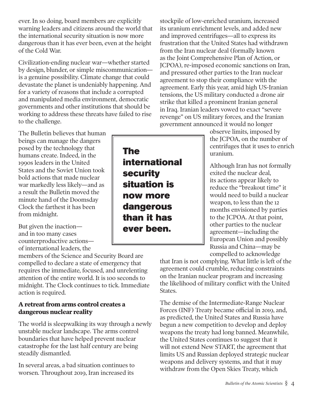ever. In so doing, board members are explicitly warning leaders and citizens around the world that the international security situation is now more dangerous than it has ever been, even at the height of the Cold War.

Civilization-ending nuclear war—whether started by design, blunder, or simple miscommunication is a genuine possibility. Climate change that could devastate the planet is undeniably happening. And for a variety of reasons that include a corrupted and manipulated media environment, democratic governments and other institutions that should be working to address these threats have failed to rise to the challenge.

The Bulletin believes that human beings can manage the dangers posed by the technology that humans create. Indeed, in the 1990s leaders in the United States and the Soviet Union took bold actions that made nuclear war markedly less likely—and as a result the Bulletin moved the minute hand of the Doomsday Clock the farthest it has been from midnight.

But given the inaction and in too many cases counterproductive actions of international leaders, the

members of the Science and Security Board are compelled to declare a state of emergency that requires the immediate, focused, and unrelenting attention of the entire world. It is 100 seconds to midnight. The Clock continues to tick. Immediate action is required.

### **A retreat from arms control creates a dangerous nuclear reality**

The world is sleepwalking its way through a newly unstable nuclear landscape. The arms control boundaries that have helped prevent nuclear catastrophe for the last half century are being steadily dismantled.

In several areas, a bad situation continues to worsen. Throughout 2019, Iran increased its

stockpile of low-enriched uranium, increased its uranium enrichment levels, and added new and improved centrifuges—all to express its frustration that the United States had withdrawn from the Iran nuclear deal (formally known as the Joint Comprehensive Plan of Action, or JCPOA), re-imposed economic sanctions on Iran, and pressured other parties to the Iran nuclear agreement to stop their compliance with the agreement. Early this year, amid high US-Iranian tensions, the US military conducted a drone air strike that killed a prominent Iranian general in Iraq. Iranian leaders vowed to exact "severe revenge" on US military forces, and the Iranian government announced it would no longer

> observe limits, imposed by the JCPOA, on the number of centrifuges that it uses to enrich uranium.

Although Iran has not formally exited the nuclear deal, its actions appear likely to reduce the "breakout time" it would need to build a nuclear weapon, to less than the 12 months envisioned by parties to the JCPOA. At that point, other parties to the nuclear agreement—including the European Union and possibly Russia and China—may be compelled to acknowledge

that Iran is not complying. What little is left of the agreement could crumble, reducing constraints on the Iranian nuclear program and increasing the likelihood of military conflict with the United States.

The demise of the Intermediate-Range Nuclear Forces (INF) Treaty became official in 2019, and, as predicted, the United States and Russia have begun a new competition to develop and deploy weapons the treaty had long banned. Meanwhile, the United States continues to suggest that it will not extend New START, the agreement that limits US and Russian deployed strategic nuclear weapons and delivery systems, and that it may withdraw from the Open Skies Treaty, which

The international security situation is now more dangerous than it has ever been.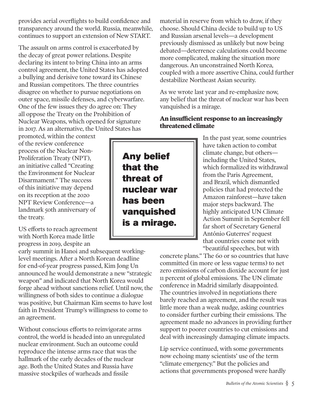provides aerial overflights to build confidence and transparency around the world. Russia, meanwhile, continues to support an extension of New START.

The assault on arms control is exacerbated by the decay of great power relations. Despite declaring its intent to bring China into an arms control agreement, the United States has adopted a bullying and derisive tone toward its Chinese and Russian competitors. The three countries disagree on whether to pursue negotiations on outer space, missile defenses, and cyberwarfare. One of the few issues they do agree on: They all oppose the Treaty on the Prohibition of Nuclear Weapons, which opened for signature in 2017. As an alternative, the United States has

promoted, within the context of the review conference process of the Nuclear Non-Proliferation Treaty (NPT), an initiative called "Creating the Environment for Nuclear Disarmament." The success of this initiative may depend on its reception at the 2020 NPT Review Conference—a landmark 50th anniversary of the treaty.

US efforts to reach agreement with North Korea made little progress in 2019, despite an

early summit in Hanoi and subsequent workinglevel meetings. After a North Korean deadline for end-of-year progress passed, Kim Jong Un announced he would demonstrate a new "strategic weapon" and indicated that North Korea would forge ahead without sanctions relief. Until now, the willingness of both sides to continue a dialogue was positive, but Chairman Kim seems to have lost faith in President Trump's willingness to come to an agreement.

Without conscious efforts to reinvigorate arms control, the world is headed into an unregulated nuclear environment. Such an outcome could reproduce the intense arms race that was the hallmark of the early decades of the nuclear age. Both the United States and Russia have massive stockpiles of warheads and fissile

material in reserve from which to draw, if they choose. Should China decide to build up to US and Russian arsenal levels—a development previously dismissed as unlikely but now being debated—deterrence calculations could become more complicated, making the situation more dangerous. An unconstrained North Korea, coupled with a more assertive China, could further destabilize Northeast Asian security.

As we wrote last year and re-emphasize now, any belief that the threat of nuclear war has been vanquished is a mirage.

### **An insufficient response to an increasingly threatened climate**

In the past year, some countries have taken action to combat climate change, but others including the United States, which formalized its withdrawal from the Paris Agreement, and Brazil, which dismantled policies that had protected the Amazon rainforest—have taken major steps backward. The highly anticipated UN Climate Action Summit in September fell far short of Secretary General António Guterres' request that countries come not with "beautiful speeches, but with

concrete plans." The 60 or so countries that have committed (in more or less vague terms) to net zero emissions of carbon dioxide account for just 11 percent of global emissions. The UN climate conference in Madrid similarly disappointed. The countries involved in negotiations there barely reached an agreement, and the result was little more than a weak nudge, asking countries to consider further curbing their emissions. The agreement made no advances in providing further support to poorer countries to cut emissions and deal with increasingly damaging climate impacts.

Lip service continued, with some governments now echoing many scientists' use of the term "climate emergency." But the policies and actions that governments proposed were hardly

*Bulletin of the Atomic Scientists* § 5

Any belief that the threat of nuclear war has been vanquished is a mirage.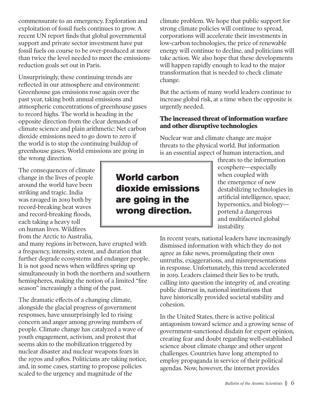commensurate to an emergency. Exploration and exploitation of fossil fuels continues to grow. A recent UN report finds that global governmental support and private sector investment have put fossil fuels on course to be over-produced at more than twice the level needed to meet the emissionsreduction goals set out in Paris.

Unsurprisingly, these continuing trends are reflected in our atmosphere and environment: Greenhouse gas emissions rose again over the past year, taking both annual emissions and atmospheric concentrations of greenhouse gases to record highs. The world is heading in the opposite direction from the clear demands of climate science and plain arithmetic: Net carbon dioxide emissions need to go down to zero if the world is to stop the continuing buildup of greenhouse gases. World emissions are going in the wrong direction.

The consequences of climate change in the lives of people around the world have been striking and tragic. India was ravaged in 2019 both by record-breaking heat waves and record-breaking floods, each taking a heavy toll on human lives. Wildfires from the Arctic to Australia,

and many regions in between, have erupted with a frequency, intensity, extent, and duration that further degrade ecosystems and endanger people. It is not good news when wildfires spring up simultaneously in both the northern and southern hemispheres, making the notion of a limited "fire season" increasingly a thing of the past.

The dramatic effects of a changing climate, alongside the glacial progress of government responses, have unsurprisingly led to rising concern and anger among growing numbers of people. Climate change has catalyzed a wave of youth engagement, activism, and protest that seems akin to the mobilization triggered by nuclear disaster and nuclear weapons fears in the 1970s and 1980s. Politicians are taking notice, and, in some cases, starting to propose policies scaled to the urgency and magnitude of the

climate problem. We hope that public support for strong climate policies will continue to spread, corporations will accelerate their investments in low-carbon technologies, the price of renewable energy will continue to decline, and politicians will take action. We also hope that these developments will happen rapidly enough to lead to the major transformation that is needed to check climate change.

But the actions of many world leaders continue to increase global risk, at a time when the opposite is urgently needed.

### **The increased threat of information warfare and other disruptive technologies**

Nuclear war and climate change are major threats to the physical world. But information is an essential aspect of human interaction, and

> threats to the information ecosphere—especially when coupled with the emergence of new destabilizing technologies in artificial intelligence, space, hypersonics, and biology portend a dangerous and multifaceted global instability.

In recent years, national leaders have increasingly dismissed information with which they do not agree as fake news, promulgating their own untruths, exaggerations, and misrepresentations in response. Unfortunately, this trend accelerated in 2019. Leaders claimed their lies to be truth, calling into question the integrity of, and creating public distrust in, national institutions that have historically provided societal stability and cohesion.

In the United States, there is active political antagonism toward science and a growing sense of government-sanctioned disdain for expert opinion, creating fear and doubt regarding well-established science about climate change and other urgent challenges. Countries have long attempted to employ propaganda in service of their political agendas. Now, however, the internet provides

### World carbon dioxide emissions are going in the wrong direction.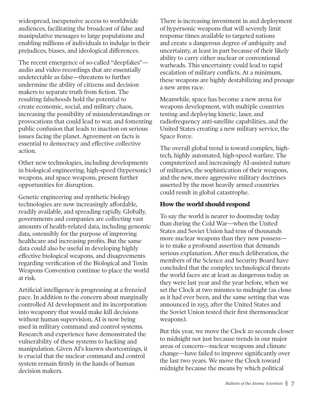widespread, inexpensive access to worldwide audiences, facilitating the broadcast of false and manipulative messages to large populations and enabling millions of individuals to indulge in their prejudices, biases, and ideological differences.

The recent emergence of so-called "deepfakes" audio and video recordings that are essentially undetectable as false—threatens to further undermine the ability of citizens and decision makers to separate truth from fiction. The resulting falsehoods hold the potential to create economic, social, and military chaos, increasing the possibility of misunderstandings or provocations that could lead to war, and fomenting public confusion that leads to inaction on serious issues facing the planet. Agreement on facts is essential to democracy and effective collective action.

Other new technologies, including developments in biological engineering, high-speed (hypersonic) weapons, and space weapons, present further opportunities for disruption.

Genetic engineering and synthetic biology technologies are now increasingly affordable, readily available, and spreading rapidly. Globally, governments and companies are collecting vast amounts of health-related data, including genomic data, ostensibly for the purpose of improving healthcare and increasing profits. But the same data could also be useful in developing highly effective biological weapons, and disagreements regarding verification of the Biological and Toxin Weapons Convention continue to place the world at risk.

Artificial intelligence is progressing at a frenzied pace. In addition to the concern about marginally controlled AI development and its incorporation into weaponry that would make kill decisions without human supervision, AI is now being used in military command and control systems. Research and experience have demonstrated the vulnerability of these systems to hacking and manipulation. Given AI's known shortcomings, it is crucial that the nuclear command and control system remain firmly in the hands of human decision makers.

There is increasing investment in and deployment of hypersonic weapons that will severely limit response times available to targeted nations and create a dangerous degree of ambiguity and uncertainty, at least in part because of their likely ability to carry either nuclear or conventional warheads. This uncertainty could lead to rapid escalation of military conflicts. At a minimum, these weapons are highly destabilizing and presage a new arms race.

Meanwhile, space has become a new arena for weapons development, with multiple countries testing and deploying kinetic, laser, and radiofrequency anti-satellite capabilities, and the United States creating a new military service, the Space Force.

The overall global trend is toward complex, hightech, highly automated, high-speed warfare. The computerized and increasingly AI-assisted nature of militaries, the sophistication of their weapons, and the new, more aggressive military doctrines asserted by the most heavily armed countries could result in global catastrophe.

#### **How the world should respond**

To say the world is nearer to doomsday today than during the Cold War—when the United States and Soviet Union had tens of thousands more nuclear weapons than they now possess is to make a profound assertion that demands serious explanation. After much deliberation, the members of the Science and Security Board have concluded that the complex technological threats the world faces are at least as dangerous today as they were last year and the year before, when we set the Clock at two minutes to midnight (as close as it had ever been, and the same setting that was announced in 1953, after the United States and the Soviet Union tested their first thermonuclear weapons).

But this year, we move the Clock 20 seconds closer to midnight not just because trends in our major areas of concern—nuclear weapons and climate change—have failed to improve significantly over the last two years. We move the Clock toward midnight because the means by which political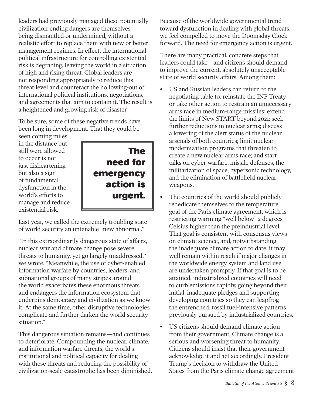leaders had previously managed these potentially civilization-ending dangers are themselves being dismantled or undermined, without a realistic effort to replace them with new or better management regimes. In effect, the international political infrastructure for controlling existential risk is degrading, leaving the world in a situation of high and rising threat. Global leaders are not responding appropriately to reduce this threat level and counteract the hollowing-out of international political institutions, negotiations, and agreements that aim to contain it. The result is a heightened and growing risk of disaster.

To be sure, some of these negative trends have been long in development. That they could be

seen coming miles in the distance but still were allowed to occur is not just disheartening but also a sign of fundamental dysfunction in the world's efforts to manage and reduce existential risk.



Last year, we called the extremely troubling state of world security an untenable "new abnormal."

"In this extraordinarily dangerous state of affairs, nuclear war and climate change pose severe threats to humanity, yet go largely unaddressed," we wrote. "Meanwhile, the use of cyber-enabled information warfare by countries, leaders, and subnational groups of many stripes around the world exacerbates these enormous threats and endangers the information ecosystem that underpins democracy and civilization as we know it. At the same time, other disruptive technologies complicate and further darken the world security situation."

This dangerous situation remains—and continues to deteriorate. Compounding the nuclear, climate, and information warfare threats, the world's institutional and political capacity for dealing with these threats and reducing the possibility of civilization-scale catastrophe has been diminished. Because of the worldwide governmental trend toward dysfunction in dealing with global threats, we feel compelled to move the Doomsday Clock forward. The need for emergency action is urgent.

There are many practical, concrete steps that leaders could take—and citizens should demand to improve the current, absolutely unacceptable state of world security affairs. Among them:

- US and Russian leaders can return to the negotiating table to: reinstate the INF Treaty or take other action to restrain an unnecessary arms race in medium-range missiles; extend the limits of New START beyond 2021; seek further reductions in nuclear arms; discuss a lowering of the alert status of the nuclear arsenals of both countries; limit nuclear modernization programs that threaten to create a new nuclear arms race; and start talks on cyber warfare, missile defenses, the militarization of space, hypersonic technology, and the elimination of battlefield nuclear weapons.
- The countries of the world should publicly rededicate themselves to the temperature goal of the Paris climate agreement, which is restricting warming "well below" 2 degrees Celsius higher than the preindustrial level. That goal is consistent with consensus views on climate science, and, notwithstanding the inadequate climate action to date, it may well remain within reach if major changes in the worldwide energy system and land use are undertaken promptly. If that goal is to be attained, industrialized countries will need to curb emissions rapidly, going beyond their initial, inadequate pledges and supporting developing countries so they can leapfrog the entrenched, fossil fuel-intensive patterns previously pursued by industrialized countries.
- US citizens should demand climate action from their government. Climate change is a serious and worsening threat to humanity. Citizens should insist that their government acknowledge it and act accordingly. President Trump's decision to withdraw the United States from the Paris climate change agreement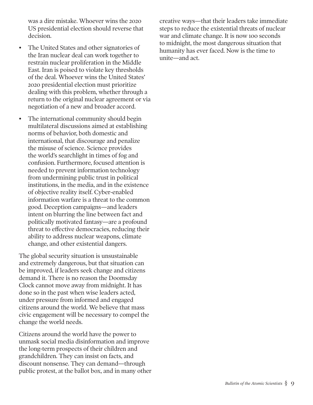was a dire mistake. Whoever wins the 2020 US presidential election should reverse that decision.

- The United States and other signatories of the Iran nuclear deal can work together to restrain nuclear proliferation in the Middle East. Iran is poised to violate key thresholds of the deal. Whoever wins the United States' 2020 presidential election must prioritize dealing with this problem, whether through a return to the original nuclear agreement or via negotiation of a new and broader accord.
- The international community should begin multilateral discussions aimed at establishing norms of behavior, both domestic and international, that discourage and penalize the misuse of science. Science provides the world's searchlight in times of fog and confusion. Furthermore, focused attention is needed to prevent information technology from undermining public trust in political institutions, in the media, and in the existence of objective reality itself. Cyber-enabled information warfare is a threat to the common good. Deception campaigns—and leaders intent on blurring the line between fact and politically motivated fantasy—are a profound threat to effective democracies, reducing their ability to address nuclear weapons, climate change, and other existential dangers.

The global security situation is unsustainable and extremely dangerous, but that situation can be improved, if leaders seek change and citizens demand it. There is no reason the Doomsday Clock cannot move away from midnight. It has done so in the past when wise leaders acted, under pressure from informed and engaged citizens around the world. We believe that mass civic engagement will be necessary to compel the change the world needs.

Citizens around the world have the power to unmask social media disinformation and improve the long-term prospects of their children and grandchildren. They can insist on facts, and discount nonsense. They can demand—through public protest, at the ballot box, and in many other creative ways—that their leaders take immediate steps to reduce the existential threats of nuclear war and climate change. It is now 100 seconds to midnight, the most dangerous situation that humanity has ever faced. Now is the time to unite—and act.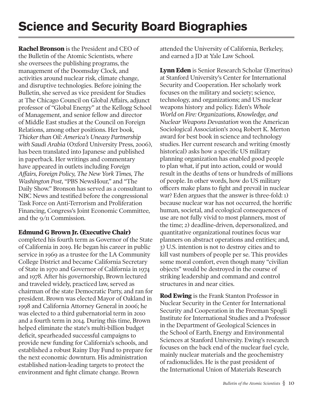## **Science and Security Board Biographies**

**Rachel Bronson** is the President and CEO of the Bulletin of the Atomic Scientists, where she oversees the publishing programs, the management of the Doomsday Clock, and activities around nuclear risk, climate change, and disruptive technologies. Before joining the Bulletin, she served as vice president for Studies at The Chicago Council on Global Affairs, adjunct professor of "Global Energy" at the Kellogg School of Management, and senior fellow and director of Middle East studies at the Council on Foreign Relations, among other positions. Her book, *Thicker than Oil: America's Uneasy Partnership with Saudi Arabia* (Oxford University Press, 2006), has been translated into Japanese and published in paperback. Her writings and commentary have appeared in outlets including F*oreign Affairs, Foreign Policy, The New York Times, The Washington Post*, "PBS NewsHour," and "The Daily Show." Bronson has served as a consultant to NBC News and testified before the congressional Task Force on Anti-Terrorism and Proliferation Financing, Congress's Joint Economic Committee, and the 9/11 Commission.

#### **Edmund G Brown Jr. (Executive Chair)**

completed his fourth term as Governor of the State of California in 2019. He began his career in public service in 1969 as a trustee for the LA Community College District and became California Secretary of State in 1970 and Governor of California in 1974 and 1978. After his governorship, Brown lectured and traveled widely, practiced law, served as chairman of the state Democratic Party, and ran for president. Brown was elected Mayor of Oakland in 1998 and California Attorney General in 2006; he was elected to a third gubernatorial term in 2010 and a fourth term in 2014. During this time, Brown helped eliminate the state's multi-billion budget deficit, spearheaded successful campaigns to provide new funding for California's schools, and established a robust Rainy Day Fund to prepare for the next economic downturn. His administration established nation-leading targets to protect the environment and fight climate change. Brown

attended the University of California, Berkeley, and earned a JD at Yale Law School.

**Lynn Eden** is Senior Research Scholar (Emeritus) at Stanford University's Center for International Security and Cooperation. Her scholarly work focuses on the military and society; science, technology, and organizations; and US nuclear weapons history and policy. Eden's *Whole World on Fire: Organizations, Knowledge, and Nuclear Weapons Devastation* won the American Sociological Association's 2004 Robert K. Merton award for best book in science and technology studies. Her current research and writing (mostly historical) asks how a specific US military planning organization has enabled good people to plan what, if put into action, could or would result in the deaths of tens or hundreds of millions of people. In other words, how do US military officers make plans to fight and prevail in nuclear war? Eden argues that the answer is three-fold: 1) because nuclear war has not occurred, the horrific human, societal, and ecological consequences of use are not fully vivid to most planners, most of the time; 2) deadline-driven, depersonalized, and quantitative organizational routines focus war planners on abstract operations and entities; and, 3) U.S. intention is not to destroy cities and to kill vast numbers of people per se. This provides some moral comfort, even though many "civilian objects" would be destroyed in the course of striking leadership and command and control structures in and near cities.

**Rod Ewing** is the Frank Stanton Professor in Nuclear Security in the Center for International Security and Cooperation in the Freeman Spogli Institute for International Studies and a Professor in the Department of Geological Sciences in the School of Earth, Energy and Environmental Sciences at Stanford University. Ewing's research focuses on the back end of the nuclear fuel cycle, mainly nuclear materials and the geochemistry of radionuclides. He is the past president of the International Union of Materials Research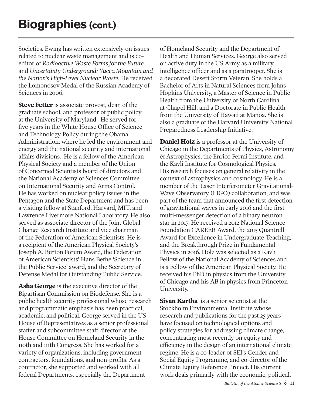Societies. Ewing has written extensively on issues related to nuclear waste management and is coeditor of *Radioactive Waste Forms for the Future*  and *Uncertainty Underground: Yucca Mountain and the Nation's High-Level Nuclear Waste*. He received the Lomonosov Medal of the Russian Academy of Sciences in 2006.

**Steve Fetter** is associate provost, dean of the graduate school, and professor of public policy at the University of Maryland. He served for five years in the White House Office of Science and Technology Policy during the Obama Administration, where he led the environment and energy and the national security and international affairs divisions. He is a fellow of the American Physical Society and a member of the Union of Concerned Scientists board of directors and the National Academy of Sciences Committee on International Security and Arms Control. He has worked on nuclear policy issues in the Pentagon and the State Department and has been a visiting fellow at Stanford, Harvard, MIT, and Lawrence Livermore National Laboratory. He also served as associate director of the Joint Global Change Research Institute and vice chairman of the Federation of American Scientists. He is a recipient of the American Physical Society's Joseph A. Burton Forum Award, the Federation of American Scientists' Hans Bethe 'Science in the Public Service' award, and the Secretary of Defense Medal for Outstanding Public Service.

**Asha George** is the executive director of the Bipartisan Commission on Biodefense. She is a public health security professional whose research and programmatic emphasis has been practical, academic, and political. George served in the US House of Representatives as a senior professional staffer and subcommittee staff director at the House Committee on Homeland Security in the 110th and 111th Congress. She has worked for a variety of organizations, including government contractors, foundations, and non-profits. As a contractor, she supported and worked with all federal Departments, especially the Department

of Homeland Security and the Department of Health and Human Services. George also served on active duty in the US Army as a military intelligence officer and as a paratrooper. She is a decorated Desert Storm Veteran. She holds a Bachelor of Arts in Natural Sciences from Johns Hopkins University, a Master of Science in Public Health from the University of North Carolina at Chapel Hill, and a Doctorate in Public Health from the University of Hawaii at Manoa. She is also a graduate of the Harvard University National Preparedness Leadership Initiative.

**Daniel Holz** is a professor at the University of Chicago in the Departments of Physics, Astronomy & Astrophysics, the Enrico Fermi Institute, and the Kavli Institute for Cosmological Physics. His research focuses on general relativity in the context of astrophysics and cosmology. He is a member of the Laser Interferometer Gravitational-Wave Observatory (LIGO) collaboration, and was part of the team that announced the first detection of gravitational waves in early 2016 and the first multi-messenger detection of a binary neutron star in 2017. He received a 2012 National Science Foundation CAREER Award, the 2015 Quantrell Award for Excellence in Undergraduate Teaching, and the Breakthrough Prize in Fundamental Physics in 2016. Holz was selected as a Kavli Fellow of the National Academy of Sciences and is a Fellow of the American Physical Society. He received his PhD in physics from the University of Chicago and his AB in physics from Princeton University.

**Sivan Kartha** is a senior scientist at the Stockholm Environmental Institute whose research and publications for the past 25 years have focused on technological options and policy strategies for addressing climate change, concentrating most recently on equity and efficiency in the design of an international climate regime. He is a co-leader of SEI's Gender and Social Equity Programme, and co-director of the Climate Equity Reference Project. His current work deals primarily with the economic, political,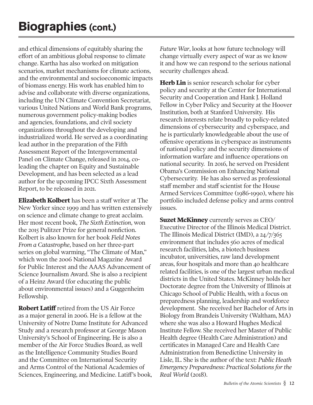and ethical dimensions of equitably sharing the effort of an ambitious global response to climate change. Kartha has also worked on mitigation scenarios, market mechanisms for climate actions, and the environmental and socioeconomic impacts of biomass energy. His work has enabled him to advise and collaborate with diverse organizations, including the UN Climate Convention Secretariat, various United Nations and World Bank programs, numerous government policy-making bodies and agencies, foundations, and civil society organizations throughout the developing and industrialized world. He served as a coordinating lead author in the preparation of the Fifth Assessment Report of the Intergovernmental Panel on Climate Change, released in 2014, coleading the chapter on Equity and Sustainable Development, and has been selected as a lead author for the upcoming IPCC Sixth Assessment Report, to be released in 2021.

**Elizabeth Kolbert** has been a staff writer at The New Yorker since 1999 and has written extensively on science and climate change to great acclaim. Her most recent book, *The Sixth Extinction*, won the 2015 Pulitzer Prize for general nonfiction. Kolbert is also known for her book *Field Notes From a Catastrophe*, based on her three-part series on global warming, "The Climate of Man," which won the 2006 National Magazine Award for Public Interest and the AAAS Advancement of Science Journalism Award. She is also a recipient of a Heinz Award (for educating the public about environmental issues) and a Guggenheim Fellowship.

**Robert Latiff** retired from the US Air Force as a major general in 2006. He is a fellow at the University of Notre Dame Institute for Advanced Study and a research professor at George Mason University's School of Engineering. He is also a member of the Air Force Studies Board, as well as the Intelligence Community Studies Board and the Committee on International Security and Arms Control of the National Academies of Sciences, Engineering, and Medicine. Latiff's book, *Future War*, looks at how future technology will change virtually every aspect of war as we know it and how we can respond to the serious national security challenges ahead.

**Herb Lin** is senior research scholar for cyber policy and security at the Center for International Security and Cooperation and Hank J. Holland Fellow in Cyber Policy and Security at the Hoover Institution, both at Stanford University. His research interests relate broadly to policy-related dimensions of cybersecurity and cyberspace, and he is particularly knowledgeable about the use of offensive operations in cyberspace as instruments of national policy and the security dimensions of information warfare and influence operations on national security. In 2016, he served on President Obama's Commission on Enhancing National Cybersecurity. He has also served as professional staff member and staff scientist for the House Armed Services Committee (1986-1990), where his portfolio included defense policy and arms control issues.

**Suzet McKinney** currently serves as CEO/ Executive Director of the Illinois Medical District. The Illinois Medical District (IMD), a 24/7/365 environment that includes 560 acres of medical research facilities, labs, a biotech business incubator, universities, raw land development areas, four hospitals and more than 40 healthcare related facilities, is one of the largest urban medical districts in the United States. McKinney holds her Doctorate degree from the University of Illinois at Chicago School of Public Health, with a focus on preparedness planning, leadership and workforce development. She received her Bachelor of Arts in Biology from Brandeis University (Waltham, MA) where she was also a Howard Hughes Medical Institute Fellow. She received her Master of Public Health degree (Health Care Administration) and certificates in Managed Care and Health Care Administration from Benedictine University in Lisle, IL. She is the author of the text: *Public Heath Emergency Preparedness: Practical Solutions for the Real World* (2018).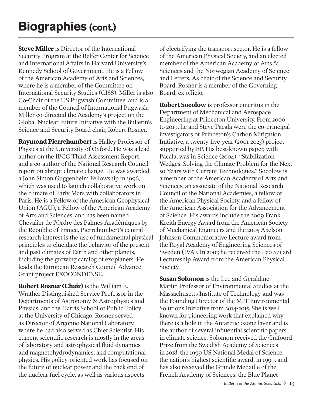**Steve Miller** is Director of the International Security Program at the Belfer Center for Science and International Affairs in Harvard University's Kennedy School of Government. He is a Fellow of the American Academy of Arts and Sciences, where he is a member of the Committee on International Security Studies (CISS). Miller is also Co-Chair of the US Pugwash Committee, and is a member of the Council of International Pugwash. Miller co-directed the Academy's project on the Global Nuclear Future Initiative with the Bulletin's Science and Security Board chair, Robert Rosner.

**Raymond Pierrehumbert** is Halley Professor of Physics at the University of Oxford. He was a lead author on the IPCC Third Assessment Report, and a co-author of the National Research Council report on abrupt climate change. He was awarded a John Simon Guggenheim Fellowship in 1996, which was used to launch collaborative work on the climate of Early Mars with collaborators in Paris. He is a Fellow of the American Geophysical Union (AGU), a Fellow of the American Academy of Arts and Sciences, and has been named Chevalier de l'Ordre des Palmes Académiques by the Republic of France. Pierrehumbert's central research interest is the use of fundamental physical principles to elucidate the behavior of the present and past climates of Earth and other planets, including the growing catalog of exoplanets. He leads the European Research Council Advance Grant project EXOCONDENSE.

**Robert Rosner (Chair)** is the William E. Wrather Distinguished Service Professor in the Departments of Astronomy & Astrophysics and Physics, and the Harris School of Public Policy at the University of Chicago. Rosner served as Director of Argonne National Laboratory, where he had also served as Chief Scientist. His current scientific research is mostly in the areas of laboratory and astrophysical fluid dynamics and magnetohydrodynamics, and computational physics. His policy-oriented work has focused on the future of nuclear power and the back end of the nuclear fuel cycle, as well as various aspects

of electrifying the transport sector. He is a fellow of the American Physical Society, and an elected member of the American Academy of Arts & Sciences and the Norwegian Academy of Science and Letters. As chair of the Science and Security Board, Rosner is a member of the Governing Board, ex officio.

**Robert Socolow** is professor emeritus in the Department of Mechanical and Aerospace Engineering at Princeton University. From 2000 to 2019, he and Steve Pacala were the co-principal investigators of Princeton's Carbon Mitigation Initiative, a twenty-five-year (2001-2025) project supported by BP. His best-known paper, with Pacala, was in Science (2004): "Stabilization Wedges: Solving the Climate Problem for the Next 50 Years with Current Technologies." Socolow is a member of the American Academy of Arts and Sciences, an associate of the National Research Council of the National Academies, a fellow of the American Physical Society, and a fellow of the American Association for the Advancement of Science. His awards include the 2009 Frank Kreith Energy Award from the American Society of Mechanical Engineers and the 2005 Axelson Johnson Commemorative Lecture award from the Royal Academy of Engineering Sciences of Sweden (IVA). In 2003 he received the Leo Szilard Lectureship Award from the American Physical Society.

**Susan Solomon** is the Lee and Geraldine Martin Professor of Environmental Studies at the Massachusetts Institute of Technology and was the Founding Director of the MIT Environmental Solutions Initiative from 2014-2015. She is well known for pioneering work that explained why there is a hole in the Antarctic ozone layer and is the author of several influential scientific papers in climate science. Solomon received the Crafoord Prize from the Swedish Academy of Sciences in 2018, the 1999 US National Medal of Science, the nation's highest scientific award, in 1999, and has also received the Grande Medaille of the French Academy of Sciences, the Blue Planet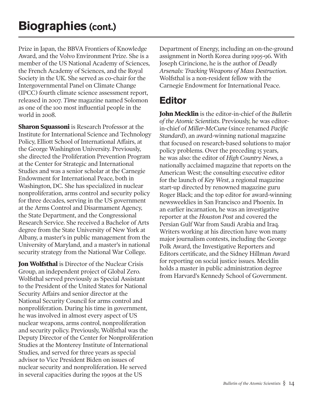Prize in Japan, the BBVA Frontiers of Knowledge Award, and the Volvo Environment Prize. She is a member of the US National Academy of Sciences, the French Academy of Sciences, and the Royal Society in the UK. She served as co-chair for the Intergovernmental Panel on Climate Change (IPCC) fourth climate science assessment report, released in 2007. *Time* magazine named Solomon as one of the 100 most influential people in the world in 2008.

**Sharon Squassoni** is Research Professor at the Institute for International Science and Technology Policy, Elliott School of International Affairs, at the George Washington University. Previously, she directed the Proliferation Prevention Program at the Center for Strategic and International Studies and was a senior scholar at the Carnegie Endowment for International Peace, both in Washington, DC. She has specialized in nuclear nonproliferation, arms control and security policy for three decades, serving in the US government at the Arms Control and Disarmament Agency, the State Department, and the Congressional Research Service. She received a Bachelor of Arts degree from the State University of New York at Albany, a master's in public management from the University of Maryland, and a master's in national security strategy from the National War College.

**Jon Wolfsthal** is Director of the Nuclear Crisis Group, an independent project of Global Zero. Wolfsthal served previously as Special Assistant to the President of the United States for National Security Affairs and senior director at the National Security Council for arms control and nonproliferation. During his time in government, he was involved in almost every aspect of US nuclear weapons, arms control, nonproliferation and security policy. Previously, Wolfsthal was the Deputy Director of the Center for Nonproliferation Studies at the Monterey Institute of International Studies, and served for three years as special advisor to Vice President Biden on issues of nuclear security and nonproliferation. He served in several capacities during the 1990s at the US

Department of Energy, including an on-the-ground assignment in North Korea during 1995-96. With Joseph Cirincione, he is the author of *Deadly Arsenals: Tracking Weapons of Mass Destruction*. Wolfsthal is a non-resident fellow with the Carnegie Endowment for International Peace.

### **Editor**

**John Mecklin** is the editor-in-chief of the *Bulletin of the Atomic Scientists*. Previously, he was editorin-chief of *Miller-McCune* (since renamed *Pacific Standard*), an award-winning national magazine that focused on research-based solutions to major policy problems. Over the preceding 15 years, he was also: the editor of *High Country News*, a nationally acclaimed magazine that reports on the American West; the consulting executive editor for the launch of *Key West*, a regional magazine start-up directed by renowned magazine guru Roger Black; and the top editor for award-winning newsweeklies in San Francisco and Phoenix. In an earlier incarnation, he was an investigative reporter at the *Houston Post* and covered the Persian Gulf War from Saudi Arabia and Iraq. Writers working at his direction have won many major journalism contests, including the George Polk Award, the Investigative Reporters and Editors certificate, and the Sidney Hillman Award for reporting on social justice issues. Mecklin holds a master in public administration degree from Harvard's Kennedy School of Government.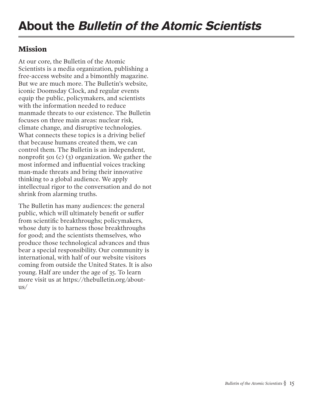### **Mission**

At our core, the Bulletin of the Atomic Scientists is a media organization, publishing a free-access website and a bimonthly magazine. But we are much more. The Bulletin's website, iconic Doomsday Clock, and regular events equip the public, policymakers, and scientists with the information needed to reduce manmade threats to our existence. The Bulletin focuses on three main areas: nuclear risk, climate change, and disruptive technologies. What connects these topics is a driving belief that because humans created them, we can control them. The Bulletin is an independent, nonprofit 501 (c) (3) organization. We gather the most informed and influential voices tracking man-made threats and bring their innovative thinking to a global audience. We apply intellectual rigor to the conversation and do not shrink from alarming truths.

The Bulletin has many audiences: the general public, which will ultimately benefit or suffer from scientific breakthroughs; policymakers, whose duty is to harness those breakthroughs for good; and the scientists themselves, who produce those technological advances and thus bear a special responsibility. Our community is international, with half of our website visitors coming from outside the United States. It is also young. Half are under the age of 35. To learn more visit us at https://thebulletin.org/aboutus/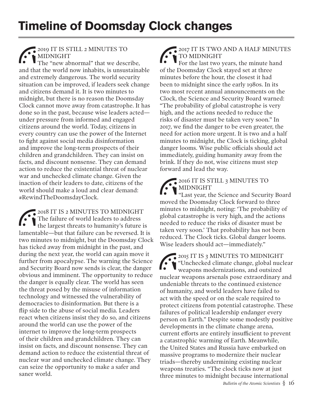2019 IT IS STILL 2 MINUTES TO MIDNIGHT

The "new abnormal" that we describe, and that the world now inhabits, is unsustainable and extremely dangerous. The world security situation can be improved, if leaders seek change and citizens demand it. It is two minutes to midnight, but there is no reason the Doomsday Clock cannot move away from catastrophe. It has done so in the past, because wise leaders acted under pressure from informed and engaged citizens around the world. Today, citizens in every country can use the power of the Internet to fight against social media disinformation and improve the long-term prospects of their children and grandchildren. They can insist on facts, and discount nonsense. They can demand action to reduce the existential threat of nuclear war and unchecked climate change. Given the inaction of their leaders to date, citizens of the world should make a loud and clear demand: #RewindTheDoomsdayClock.

2018 IT IS 2 MINUTES TO MIDNIGHT The failure of world leaders to address the largest threats to humanity's future is lamentable—but that failure can be reversed. It is two minutes to midnight, but the Doomsday Clock has ticked away from midnight in the past, and during the next year, the world can again move it further from apocalypse. The warning the Science and Security Board now sends is clear, the danger obvious and imminent. The opportunity to reduce the danger is equally clear. The world has seen the threat posed by the misuse of information technology and witnessed the vulnerability of democracies to disinformation. But there is a flip side to the abuse of social media. Leaders react when citizens insist they do so, and citizens around the world can use the power of the internet to improve the long-term prospects of their children and grandchildren. They can insist on facts, and discount nonsense. They can demand action to reduce the existential threat of nuclear war and unchecked climate change. They can seize the opportunity to make a safer and saner world.

2017 IT IS TWO AND A HALF MINUTES TO MIDNIGHT For the last two years, the minute hand of the Doomsday Clock stayed set at three minutes before the hour, the closest it had been to midnight since the early 1980s. In its two most recent annual announcements on the Clock, the Science and Security Board warned: "The probability of global catastrophe is very high, and the actions needed to reduce the risks of disaster must be taken very soon." In 2017, we find the danger to be even greater, the need for action more urgent. It is two and a half minutes to midnight, the Clock is ticking, global danger looms. Wise public officials should act immediately, guiding humanity away from the brink. If they do not, wise citizens must step forward and lead the way.

### 2016 IT IS STILL 3 MINUTES TO MIDNIGHT

"Last year, the Science and Security Board moved the Doomsday Clock forward to three minutes to midnight, noting: 'The probability of global catastrophe is very high, and the actions needed to reduce the risks of disaster must be taken very soon.' That probability has not been reduced. The Clock ticks. Global danger looms. Wise leaders should act—immediately."

2015 IT IS 3 MINUTES TO MIDNIGHT "Unchecked climate change, global nuclear weapons modernizations, and outsized nuclear weapons arsenals pose extraordinary and undeniable threats to the continued existence of humanity, and world leaders have failed to act with the speed or on the scale required to protect citizens from potential catastrophe. These failures of political leadership endanger every person on Earth." Despite some modestly positive developments in the climate change arena, current efforts are entirely insufficient to prevent a catastrophic warming of Earth. Meanwhile, the United States and Russia have embarked on massive programs to modernize their nuclear triads—thereby undermining existing nuclear weapons treaties. "The clock ticks now at just three minutes to midnight because international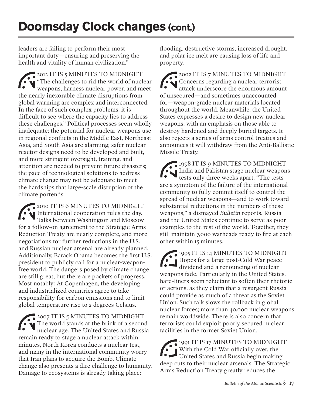leaders are failing to perform their most important duty—ensuring and preserving the health and vitality of human civilization."

2012 IT IS 5 MINUTES TO MIDNIGHT "The challenges to rid the world of nuclear weapons, harness nuclear power, and meet the nearly inexorable climate disruptions from global warming are complex and interconnected. In the face of such complex problems, it is difficult to see where the capacity lies to address these challenges." Political processes seem wholly inadequate; the potential for nuclear weapons use in regional conflicts in the Middle East, Northeast Asia, and South Asia are alarming; safer nuclear reactor designs need to be developed and built, and more stringent oversight, training, and attention are needed to prevent future disasters; the pace of technological solutions to address climate change may not be adequate to meet the hardships that large-scale disruption of the climate portends.

2010 IT IS 6 MINUTES TO MIDNIGHT International cooperation rules the day. Talks between Washington and Moscow for a follow-on agreement to the Strategic Arms Reduction Treaty are nearly complete, and more negotiations for further reductions in the U.S. and Russian nuclear arsenal are already planned. Additionally, Barack Obama becomes the first U.S. president to publicly call for a nuclear-weaponfree world. The dangers posed by climate change are still great, but there are pockets of progress. Most notably: At Copenhagen, the developing and industrialized countries agree to take responsibility for carbon emissions and to limit global temperature rise to 2 degrees Celsius.

2007 IT IS 5 MINUTES TO MIDNIGHT The world stands at the brink of a second nuclear age. The United States and Russia remain ready to stage a nuclear attack within minutes, North Korea conducts a nuclear test, and many in the international community worry that Iran plans to acquire the Bomb. Climate change also presents a dire challenge to humanity. Damage to ecosystems is already taking place;

flooding, destructive storms, increased drought, and polar ice melt are causing loss of life and property.

2002 IT IS 7 MINUTES TO MIDNIGHT Concerns regarding a nuclear terrorist attack underscore the enormous amount of unsecured—and sometimes unaccounted for—weapon-grade nuclear materials located throughout the world. Meanwhile, the United States expresses a desire to design new nuclear weapons, with an emphasis on those able to destroy hardened and deeply buried targets. It also rejects a series of arms control treaties and announces it will withdraw from the Anti-Ballistic Missile Treaty.

1998 IT IS 9 MINUTES TO MIDNIGHT India and Pakistan stage nuclear weapons tests only three weeks apart. "The tests are a symptom of the failure of the international community to fully commit itself to control the spread of nuclear weapons—and to work toward substantial reductions in the numbers of these weapons," a dismayed *Bulletin* reports. Russia and the United States continue to serve as poor examples to the rest of the world. Together, they still maintain 7,000 warheads ready to fire at each other within 15 minutes.

1995 IT IS 14 MINUTES TO MIDNIGHT Hopes for a large post-Cold War peace dividend and a renouncing of nuclear weapons fade. Particularly in the United States, hard-liners seem reluctant to soften their rhetoric or actions, as they claim that a resurgent Russia could provide as much of a threat as the Soviet Union. Such talk slows the rollback in global nuclear forces; more than 40,000 nuclear weapons remain worldwide. There is also concern that terrorists could exploit poorly secured nuclear facilities in the former Soviet Union.

1991 IT IS 17 MINUTES TO MIDNIGHT With the Cold War officially over, the United States and Russia begin making deep cuts to their nuclear arsenals. The Strategic Arms Reduction Treaty greatly reduces the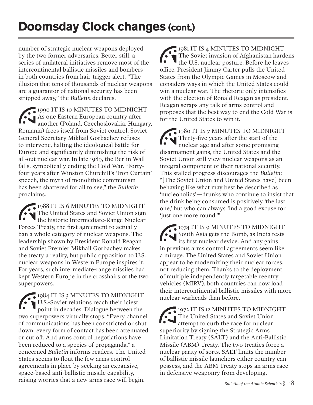## **Doomsday Clock changes (cont.)**

number of strategic nuclear weapons deployed by the two former adversaries. Better still, a series of unilateral initiatives remove most of the intercontinental ballistic missiles and bombers in both countries from hair-trigger alert. "The illusion that tens of thousands of nuclear weapons are a guarantor of national security has been stripped away," the *Bulletin* declares.

1990 IT IS 10 MINUTES TO MIDNIGHT As one Eastern European country after another (Poland, Czechoslovakia, Hungary, Romania) frees itself from Soviet control, Soviet General Secretary Mikhail Gorbachev refuses to intervene, halting the ideological battle for Europe and significantly diminishing the risk of all-out nuclear war. In late 1989, the Berlin Wall falls, symbolically ending the Cold War. "Fortyfour years after Winston Churchill's 'Iron Curtain' speech, the myth of monolithic communism has been shattered for all to see," the *Bulletin* proclaims.

1988 IT IS 6 MINUTES TO MIDNIGHT The United States and Soviet Union sign the historic Intermediate-Range Nuclear Forces Treaty, the first agreement to actually ban a whole category of nuclear weapons. The leadership shown by President Ronald Reagan and Soviet Premier Mikhail Gorbachev makes the treaty a reality, but public opposition to U.S. nuclear weapons in Western Europe inspires it. For years, such intermediate-range missiles had kept Western Europe in the crosshairs of the two superpowers.

1984 IT IS 3 MINUTES TO MIDNIGHT U.S.-Soviet relations reach their iciest point in decades. Dialogue between the two superpowers virtually stops. "Every channel of communications has been constricted or shut down; every form of contact has been attenuated or cut off. And arms control negotiations have been reduced to a species of propaganda," a concerned *Bulletin* informs readers. The United States seems to flout the few arms control agreements in place by seeking an expansive, space-based anti-ballistic missile capability, raising worries that a new arms race will begin.

1981 IT IS 4 MINUTES TO MIDNIGHT The Soviet invasion of Afghanistan hardens the U.S. nuclear posture. Before he leaves office, President Jimmy Carter pulls the United States from the Olympic Games in Moscow and considers ways in which the United States could win a nuclear war. The rhetoric only intensifies with the election of Ronald Reagan as president. Reagan scraps any talk of arms control and proposes that the best way to end the Cold War is for the United States to win it.

1980 IT IS 7 MINUTES TO MIDNIGHT Thirty-five years after the start of the nuclear age and after some promising disarmament gains, the United States and the Soviet Union still view nuclear weapons as an integral component of their national security. This stalled progress discourages the *Bulletin*: "[The Soviet Union and United States have] been behaving like what may best be described as 'nucleoholics'—drunks who continue to insist that the drink being consumed is positively 'the last one,' but who can always find a good excuse for 'just one more round.'"

1974 IT IS 9 MINUTES TO MIDNIGHT South Asia gets the Bomb, as India tests its first nuclear device. And any gains in previous arms control agreements seem like a mirage. The United States and Soviet Union appear to be modernizing their nuclear forces, not reducing them. Thanks to the deployment of multiple independently targetable reentry vehicles (MIRV), both countries can now load their intercontinental ballistic missiles with more nuclear warheads than before.

1972 IT IS 12 MINUTES TO MIDNIGHT The United States and Soviet Union attempt to curb the race for nuclear superiority by signing the Strategic Arms Limitation Treaty (SALT) and the Anti-Ballistic Missile (ABM) Treaty. The two treaties force a nuclear parity of sorts. SALT limits the number of ballistic missile launchers either country can possess, and the ABM Treaty stops an arms race in defensive weaponry from developing.